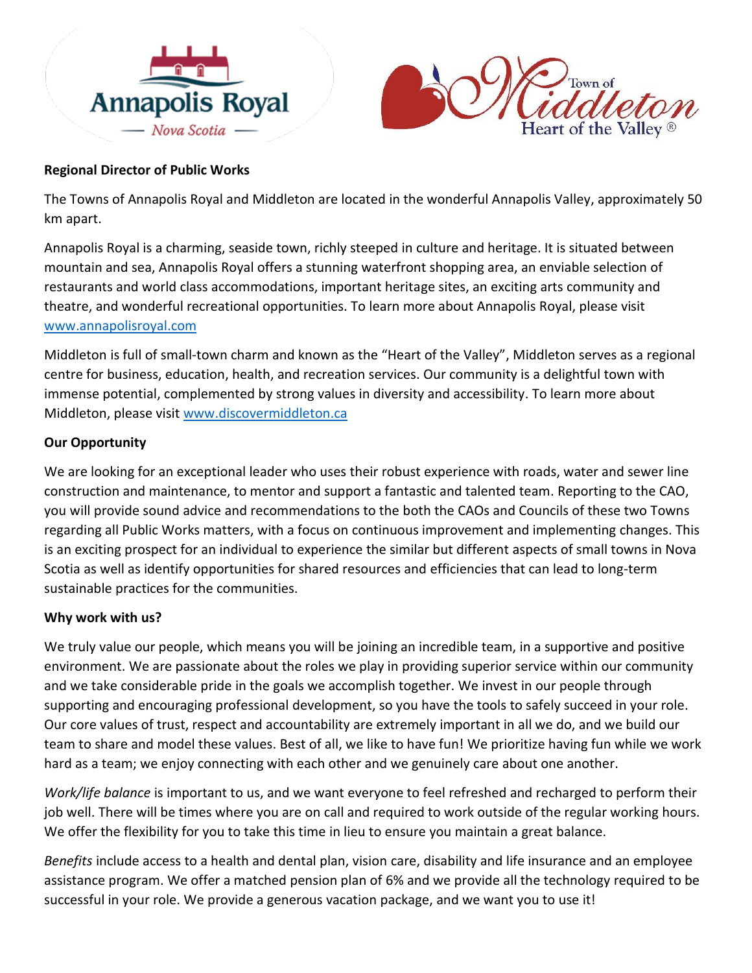



## **Regional Director of Public Works**

The Towns of Annapolis Royal and Middleton are located in the wonderful Annapolis Valley, approximately 50 km apart.

Annapolis Royal is a charming, seaside town, richly steeped in culture and heritage. It is situated between mountain and sea, Annapolis Royal offers a stunning waterfront shopping area, an enviable selection of restaurants and world class accommodations, important heritage sites, an exciting arts community and theatre, and wonderful recreational opportunities. To learn more about Annapolis Royal, please visit [www.annapolisroyal.com](http://www.annapolisroyal.com/)

Middleton is full of small-town charm and known as the "Heart of the Valley", Middleton serves as a regional centre for business, education, health, and recreation services. Our community is a delightful town with immense potential, complemented by strong values in diversity and accessibility. To learn more about Middleton, please visit [www.discovermiddleton.ca](http://www.discovermiddleton.ca/)

# **Our Opportunity**

We are looking for an exceptional leader who uses their robust experience with roads, water and sewer line construction and maintenance, to mentor and support a fantastic and talented team. Reporting to the CAO, you will provide sound advice and recommendations to the both the CAOs and Councils of these two Towns regarding all Public Works matters, with a focus on continuous improvement and implementing changes. This is an exciting prospect for an individual to experience the similar but different aspects of small towns in Nova Scotia as well as identify opportunities for shared resources and efficiencies that can lead to long-term sustainable practices for the communities.

### **Why work with us?**

We truly value our people, which means you will be joining an incredible team, in a supportive and positive environment. We are passionate about the roles we play in providing superior service within our community and we take considerable pride in the goals we accomplish together. We invest in our people through supporting and encouraging professional development, so you have the tools to safely succeed in your role. Our core values of trust, respect and accountability are extremely important in all we do, and we build our team to share and model these values. Best of all, we like to have fun! We prioritize having fun while we work hard as a team; we enjoy connecting with each other and we genuinely care about one another.

*Work/life balance* is important to us, and we want everyone to feel refreshed and recharged to perform their job well. There will be times where you are on call and required to work outside of the regular working hours. We offer the flexibility for you to take this time in lieu to ensure you maintain a great balance.

*Benefits* include access to a health and dental plan, vision care, disability and life insurance and an employee assistance program. We offer a matched pension plan of 6% and we provide all the technology required to be successful in your role. We provide a generous vacation package, and we want you to use it!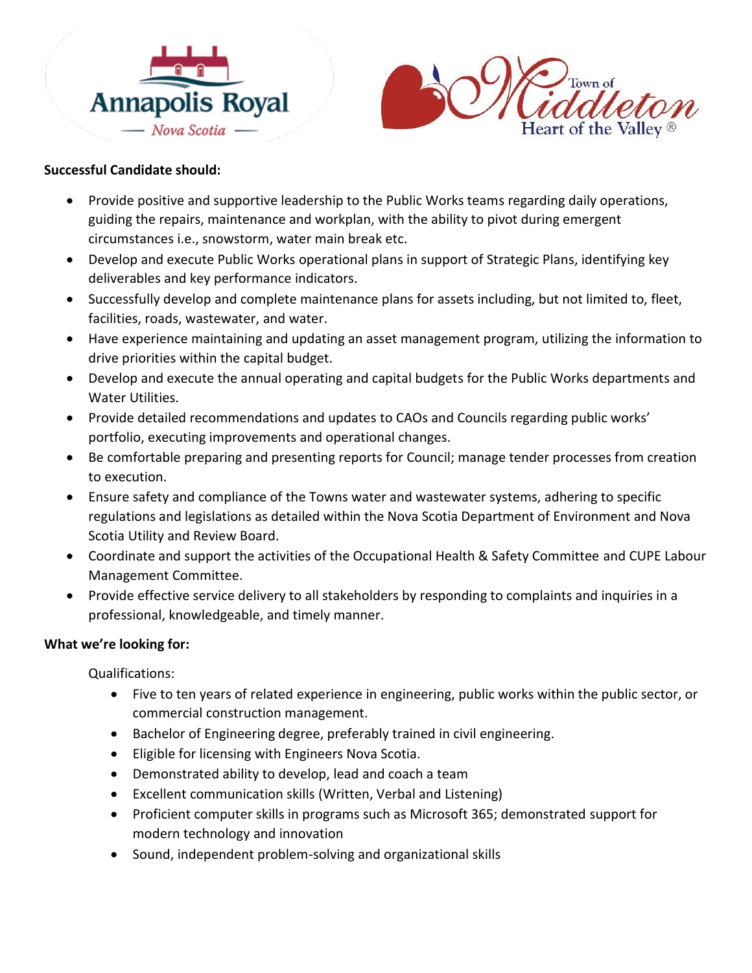



## **Successful Candidate should:**

- Provide positive and supportive leadership to the Public Works teams regarding daily operations, guiding the repairs, maintenance and workplan, with the ability to pivot during emergent circumstances i.e., snowstorm, water main break etc.
- Develop and execute Public Works operational plans in support of Strategic Plans, identifying key deliverables and key performance indicators.
- Successfully develop and complete maintenance plans for assets including, but not limited to, fleet, facilities, roads, wastewater, and water.
- Have experience maintaining and updating an asset management program, utilizing the information to drive priorities within the capital budget.
- Develop and execute the annual operating and capital budgets for the Public Works departments and Water Utilities.
- Provide detailed recommendations and updates to CAOs and Councils regarding public works' portfolio, executing improvements and operational changes.
- Be comfortable preparing and presenting reports for Council; manage tender processes from creation to execution.
- Ensure safety and compliance of the Towns water and wastewater systems, adhering to specific regulations and legislations as detailed within the Nova Scotia Department of Environment and Nova Scotia Utility and Review Board.
- Coordinate and support the activities of the Occupational Health & Safety Committee and CUPE Labour Management Committee.
- Provide effective service delivery to all stakeholders by responding to complaints and inquiries in a professional, knowledgeable, and timely manner.

# **What we're looking for:**

Qualifications:

- Five to ten years of related experience in engineering, public works within the public sector, or commercial construction management.
- Bachelor of Engineering degree, preferably trained in civil engineering.
- Eligible for licensing with Engineers Nova Scotia.
- Demonstrated ability to develop, lead and coach a team
- Excellent communication skills (Written, Verbal and Listening)
- Proficient computer skills in programs such as Microsoft 365; demonstrated support for modern technology and innovation
- Sound, independent problem-solving and organizational skills